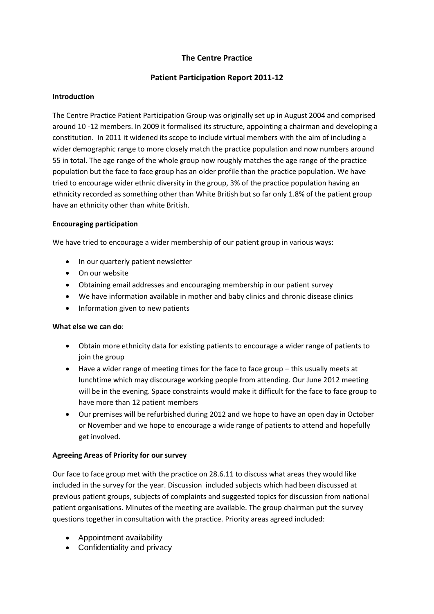# **The Centre Practice**

## **Patient Participation Report 2011-12**

#### **Introduction**

The Centre Practice Patient Participation Group was originally set up in August 2004 and comprised around 10 -12 members. In 2009 it formalised its structure, appointing a chairman and developing a constitution. In 2011 it widened its scope to include virtual members with the aim of including a wider demographic range to more closely match the practice population and now numbers around 55 in total. The age range of the whole group now roughly matches the age range of the practice population but the face to face group has an older profile than the practice population. We have tried to encourage wider ethnic diversity in the group, 3% of the practice population having an ethnicity recorded as something other than White British but so far only 1.8% of the patient group have an ethnicity other than white British.

#### **Encouraging participation**

We have tried to encourage a wider membership of our patient group in various ways:

- In our quarterly patient newsletter
- On our website
- Obtaining email addresses and encouraging membership in our patient survey
- We have information available in mother and baby clinics and chronic disease clinics
- Information given to new patients

#### **What else we can do**:

- Obtain more ethnicity data for existing patients to encourage a wider range of patients to join the group
- Have a wider range of meeting times for the face to face group this usually meets at lunchtime which may discourage working people from attending. Our June 2012 meeting will be in the evening. Space constraints would make it difficult for the face to face group to have more than 12 patient members
- Our premises will be refurbished during 2012 and we hope to have an open day in October or November and we hope to encourage a wide range of patients to attend and hopefully get involved.

### **Agreeing Areas of Priority for our survey**

Our face to face group met with the practice on 28.6.11 to discuss what areas they would like included in the survey for the year. Discussion included subjects which had been discussed at previous patient groups, subjects of complaints and suggested topics for discussion from national patient organisations. Minutes of the meeting are available. The group chairman put the survey questions together in consultation with the practice. Priority areas agreed included:

- Appointment availability
- Confidentiality and privacy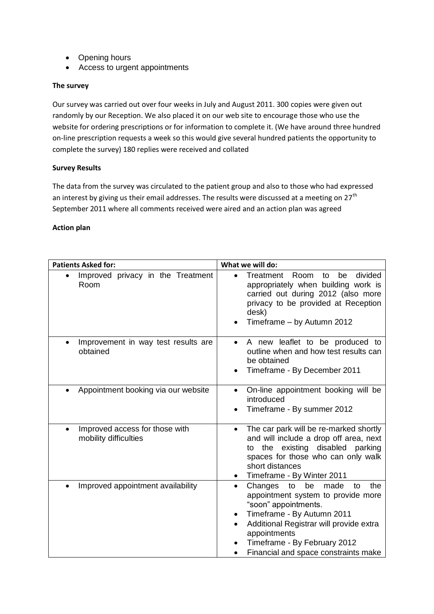- Opening hours
- Access to urgent appointments

#### **The survey**

Our survey was carried out over four weeks in July and August 2011. 300 copies were given out randomly by our Reception. We also placed it on our web site to encourage those who use the website for ordering prescriptions or for information to complete it. (We have around three hundred on-line prescription requests a week so this would give several hundred patients the opportunity to complete the survey) 180 replies were received and collated

#### **Survey Results**

The data from the survey was circulated to the patient group and also to those who had expressed an interest by giving us their email addresses. The results were discussed at a meeting on  $27<sup>th</sup>$ September 2011 where all comments received were aired and an action plan was agreed

#### **Action plan**

| <b>Patients Asked for:</b>                                           | What we will do:                                                                                                                                                                                                                                                                     |  |  |  |  |  |
|----------------------------------------------------------------------|--------------------------------------------------------------------------------------------------------------------------------------------------------------------------------------------------------------------------------------------------------------------------------------|--|--|--|--|--|
| Improved privacy in the Treatment<br>$\bullet$<br>Room               | Room<br>divided<br>Treatment<br>to<br>be<br>$\bullet$<br>appropriately when building work is<br>carried out during 2012 (also more<br>privacy to be provided at Reception<br>desk)<br>Timeframe - by Autumn 2012                                                                     |  |  |  |  |  |
| Improvement in way test results are<br>$\bullet$<br>obtained         | A new leaflet to be produced to<br>$\bullet$<br>outline when and how test results can<br>be obtained<br>Timeframe - By December 2011                                                                                                                                                 |  |  |  |  |  |
| Appointment booking via our website<br>$\bullet$                     | On-line appointment booking will be<br>$\bullet$<br>introduced<br>Timeframe - By summer 2012                                                                                                                                                                                         |  |  |  |  |  |
| Improved access for those with<br>$\bullet$<br>mobility difficulties | The car park will be re-marked shortly<br>$\bullet$<br>and will include a drop off area, next<br>existing disabled parking<br>the<br>to<br>spaces for those who can only walk<br>short distances<br>Timeframe - By Winter 2011<br>$\bullet$                                          |  |  |  |  |  |
| Improved appointment availability                                    | be<br>made<br>the<br>Changes<br>to<br>to<br>appointment system to provide more<br>"soon" appointments.<br>Timeframe - By Autumn 2011<br>$\bullet$<br>Additional Registrar will provide extra<br>appointments<br>Timeframe - By February 2012<br>Financial and space constraints make |  |  |  |  |  |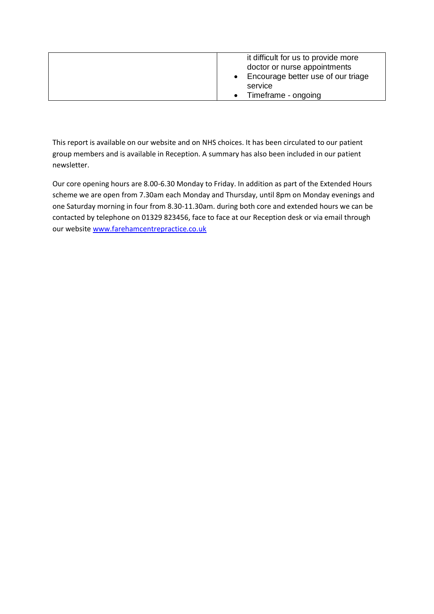| it difficult for us to provide more  |
|--------------------------------------|
|                                      |
| doctor or nurse appointments         |
| • Encourage better use of our triage |
| service                              |
| Timeframe - ongoing                  |

This report is available on our website and on NHS choices. It has been circulated to our patient group members and is available in Reception. A summary has also been included in our patient newsletter.

Our core opening hours are 8.00-6.30 Monday to Friday. In addition as part of the Extended Hours scheme we are open from 7.30am each Monday and Thursday, until 8pm on Monday evenings and one Saturday morning in four from 8.30-11.30am. during both core and extended hours we can be contacted by telephone on 01329 823456, face to face at our Reception desk or via email through our website [www.farehamcentrepractice.co.uk](http://www.farehamcentrepractice.co.uk/)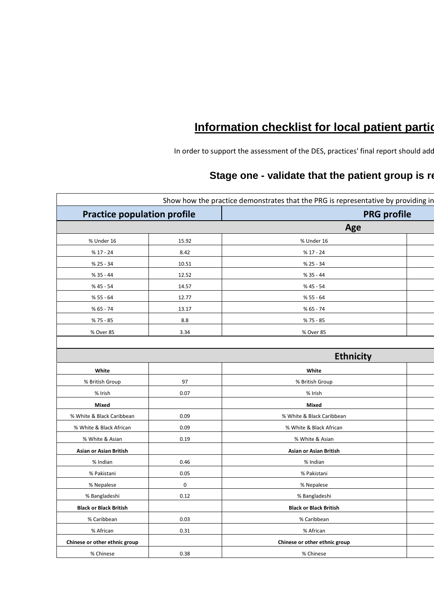# **Information checklist for local patient partidion**

In order to support the assessment of the DES, practices' final report should add

# **Stage one - validate that the patient group is represent**

|                                    |             | Show how the practice demonstrates that the PRG is representative by providing in |                    |  |
|------------------------------------|-------------|-----------------------------------------------------------------------------------|--------------------|--|
| <b>Practice population profile</b> |             |                                                                                   | <b>PRG profile</b> |  |
|                                    |             | Age                                                                               |                    |  |
| % Under 16                         | 15.92       | % Under 16                                                                        |                    |  |
| % 17 - 24                          | 8.42        | $% 17 - 24$                                                                       |                    |  |
| $% 25 - 34$                        | 10.51       | % 25 - 34                                                                         |                    |  |
| $% 35 - 44$                        | 12.52       | % 35 - 44                                                                         |                    |  |
| % 45 - 54                          | 14.57       | % 45 - 54                                                                         |                    |  |
| $% 55 - 64$                        | 12.77       | $% 55 - 64$                                                                       |                    |  |
| $% 65 - 74$                        | 13.17       | $% 65 - 74$                                                                       |                    |  |
| % 75 - 85                          | $8.8\,$     | % 75 - 85                                                                         |                    |  |
| % Over 85                          | 3.34        | % Over 85                                                                         |                    |  |
|                                    |             |                                                                                   |                    |  |
|                                    |             | <b>Ethnicity</b>                                                                  |                    |  |
| White                              |             | White                                                                             |                    |  |
| % British Group                    | 97          | % British Group                                                                   |                    |  |
| % Irish                            | 0.07        | % Irish                                                                           |                    |  |
| Mixed                              |             | Mixed                                                                             |                    |  |
| % White & Black Caribbean          | 0.09        | % White & Black Caribbean                                                         |                    |  |
| % White & Black African            | 0.09        | % White & Black African                                                           |                    |  |
| % White & Asian                    | 0.19        | % White & Asian                                                                   |                    |  |
| Asian or Asian British             |             | Asian or Asian British                                                            |                    |  |
| % Indian                           | 0.46        | % Indian                                                                          |                    |  |
| % Pakistani                        | 0.05        | % Pakistani                                                                       |                    |  |
| % Nepalese                         | $\mathbf 0$ | % Nepalese                                                                        |                    |  |
| % Bangladeshi                      | 0.12        | % Bangladeshi                                                                     |                    |  |
| <b>Black or Black British</b>      |             | <b>Black or Black British</b>                                                     |                    |  |
| % Caribbean                        | 0.03        | % Caribbean                                                                       |                    |  |
| % African                          | 0.31        | % African                                                                         |                    |  |
| Chinese or other ethnic group      |             | Chinese or other ethnic group                                                     |                    |  |
| % Chinese                          | 0.38        | % Chinese                                                                         |                    |  |